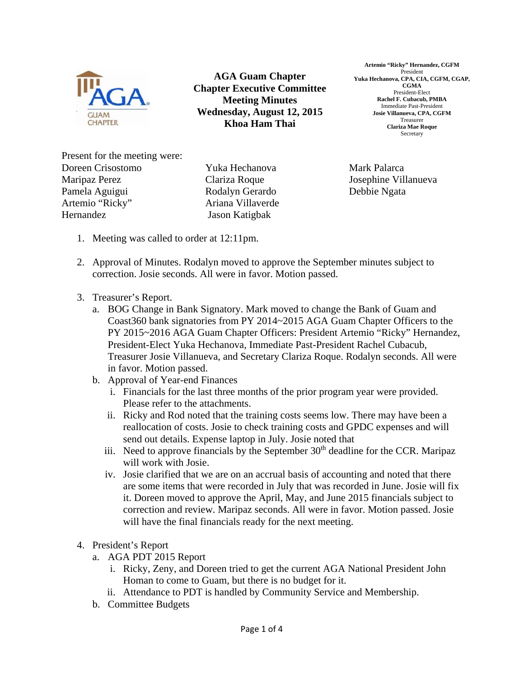

**AGA Guam Chapter Chapter Executive Committee Meeting Minutes Wednesday, August 12, 2015 Khoa Ham Thai** 

**Artemio "Ricky" Hernandez, CGFM**  President **Yuka Hechanova, CPA, CIA, CGFM, CGAP, CGMA**  President-Elect **Rachel F. Cubacub, PMBA**  Immediate Past-President **Josie Villanueva, CPA, CGFM**  Treasurer **Clariza Mae Roque**  Secretary

Present for the meeting were: Doreen Crisostomo Maripaz Perez Pamela Aguigui Artemio "Ricky" Hernandez

Yuka Hechanova Clariza Roque Rodalyn Gerardo Ariana Villaverde Jason Katigbak

Mark Palarca Josephine Villanueva Debbie Ngata

- 1. Meeting was called to order at 12:11pm.
- 2. Approval of Minutes. Rodalyn moved to approve the September minutes subject to correction. Josie seconds. All were in favor. Motion passed.
- 3. Treasurer's Report.
	- a. BOG Change in Bank Signatory. Mark moved to change the Bank of Guam and Coast360 bank signatories from PY 2014~2015 AGA Guam Chapter Officers to the PY 2015~2016 AGA Guam Chapter Officers: President Artemio "Ricky" Hernandez, President-Elect Yuka Hechanova, Immediate Past-President Rachel Cubacub, Treasurer Josie Villanueva, and Secretary Clariza Roque. Rodalyn seconds. All were in favor. Motion passed.
	- b. Approval of Year-end Finances
		- i. Financials for the last three months of the prior program year were provided. Please refer to the attachments.
		- ii. Ricky and Rod noted that the training costs seems low. There may have been a reallocation of costs. Josie to check training costs and GPDC expenses and will send out details. Expense laptop in July. Josie noted that
		- iii. Need to approve financials by the September  $30<sup>th</sup>$  deadline for the CCR. Maripaz will work with Josie.
		- iv. Josie clarified that we are on an accrual basis of accounting and noted that there are some items that were recorded in July that was recorded in June. Josie will fix it. Doreen moved to approve the April, May, and June 2015 financials subject to correction and review. Maripaz seconds. All were in favor. Motion passed. Josie will have the final financials ready for the next meeting.
- 4. President's Report
	- a. AGA PDT 2015 Report
		- i. Ricky, Zeny, and Doreen tried to get the current AGA National President John Homan to come to Guam, but there is no budget for it.
		- ii. Attendance to PDT is handled by Community Service and Membership.
	- b. Committee Budgets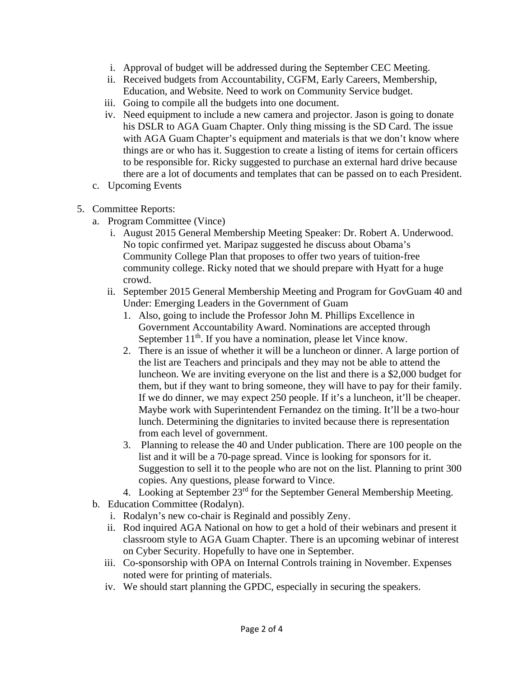- i. Approval of budget will be addressed during the September CEC Meeting.
- ii. Received budgets from Accountability, CGFM, Early Careers, Membership, Education, and Website. Need to work on Community Service budget.
- iii. Going to compile all the budgets into one document.
- iv. Need equipment to include a new camera and projector. Jason is going to donate his DSLR to AGA Guam Chapter. Only thing missing is the SD Card. The issue with AGA Guam Chapter's equipment and materials is that we don't know where things are or who has it. Suggestion to create a listing of items for certain officers to be responsible for. Ricky suggested to purchase an external hard drive because there are a lot of documents and templates that can be passed on to each President.
- c. Upcoming Events
- 5. Committee Reports:
	- a. Program Committee (Vince)
		- i. August 2015 General Membership Meeting Speaker: Dr. Robert A. Underwood. No topic confirmed yet. Maripaz suggested he discuss about Obama's Community College Plan that proposes to offer two years of tuition-free community college. Ricky noted that we should prepare with Hyatt for a huge crowd.
		- ii. September 2015 General Membership Meeting and Program for GovGuam 40 and Under: Emerging Leaders in the Government of Guam
			- 1. Also, going to include the Professor John M. Phillips Excellence in Government Accountability Award. Nominations are accepted through September  $11<sup>th</sup>$ . If you have a nomination, please let Vince know.
			- 2. There is an issue of whether it will be a luncheon or dinner. A large portion of the list are Teachers and principals and they may not be able to attend the luncheon. We are inviting everyone on the list and there is a \$2,000 budget for them, but if they want to bring someone, they will have to pay for their family. If we do dinner, we may expect 250 people. If it's a luncheon, it'll be cheaper. Maybe work with Superintendent Fernandez on the timing. It'll be a two-hour lunch. Determining the dignitaries to invited because there is representation from each level of government.
			- 3. Planning to release the 40 and Under publication. There are 100 people on the list and it will be a 70-page spread. Vince is looking for sponsors for it. Suggestion to sell it to the people who are not on the list. Planning to print 300 copies. Any questions, please forward to Vince.
		- 4. Looking at September 23<sup>rd</sup> for the September General Membership Meeting.
	- b. Education Committee (Rodalyn).
		- i. Rodalyn's new co-chair is Reginald and possibly Zeny.
		- ii. Rod inquired AGA National on how to get a hold of their webinars and present it classroom style to AGA Guam Chapter. There is an upcoming webinar of interest on Cyber Security. Hopefully to have one in September.
		- iii. Co-sponsorship with OPA on Internal Controls training in November. Expenses noted were for printing of materials.
		- iv. We should start planning the GPDC, especially in securing the speakers.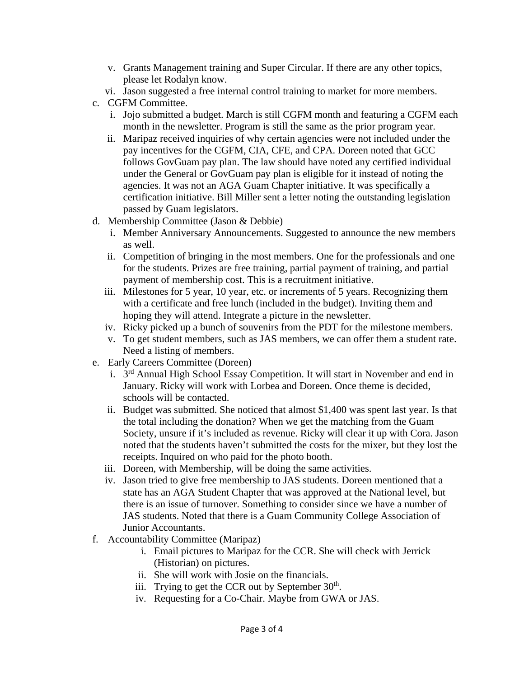- v. Grants Management training and Super Circular. If there are any other topics, please let Rodalyn know.
- vi. Jason suggested a free internal control training to market for more members.
- c. CGFM Committee.
	- i. Jojo submitted a budget. March is still CGFM month and featuring a CGFM each month in the newsletter. Program is still the same as the prior program year.
	- ii. Maripaz received inquiries of why certain agencies were not included under the pay incentives for the CGFM, CIA, CFE, and CPA. Doreen noted that GCC follows GovGuam pay plan. The law should have noted any certified individual under the General or GovGuam pay plan is eligible for it instead of noting the agencies. It was not an AGA Guam Chapter initiative. It was specifically a certification initiative. Bill Miller sent a letter noting the outstanding legislation passed by Guam legislators.
- d. Membership Committee (Jason & Debbie)
	- i. Member Anniversary Announcements. Suggested to announce the new members as well.
	- ii. Competition of bringing in the most members. One for the professionals and one for the students. Prizes are free training, partial payment of training, and partial payment of membership cost. This is a recruitment initiative.
	- iii. Milestones for 5 year, 10 year, etc. or increments of 5 years. Recognizing them with a certificate and free lunch (included in the budget). Inviting them and hoping they will attend. Integrate a picture in the newsletter.
	- iv. Ricky picked up a bunch of souvenirs from the PDT for the milestone members.
	- v. To get student members, such as JAS members, we can offer them a student rate. Need a listing of members.
- e. Early Careers Committee (Doreen)
	- i. 3rd Annual High School Essay Competition. It will start in November and end in January. Ricky will work with Lorbea and Doreen. Once theme is decided, schools will be contacted.
	- ii. Budget was submitted. She noticed that almost \$1,400 was spent last year. Is that the total including the donation? When we get the matching from the Guam Society, unsure if it's included as revenue. Ricky will clear it up with Cora. Jason noted that the students haven't submitted the costs for the mixer, but they lost the receipts. Inquired on who paid for the photo booth.
	- iii. Doreen, with Membership, will be doing the same activities.
	- iv. Jason tried to give free membership to JAS students. Doreen mentioned that a state has an AGA Student Chapter that was approved at the National level, but there is an issue of turnover. Something to consider since we have a number of JAS students. Noted that there is a Guam Community College Association of Junior Accountants.
- f. Accountability Committee (Maripaz)
	- i. Email pictures to Maripaz for the CCR. She will check with Jerrick (Historian) on pictures.
	- ii. She will work with Josie on the financials.
	- iii. Trying to get the CCR out by September  $30<sup>th</sup>$ .
	- iv. Requesting for a Co-Chair. Maybe from GWA or JAS.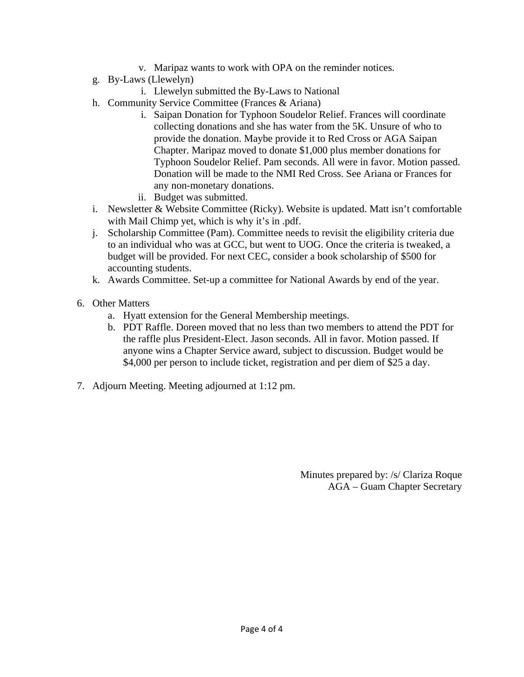- v. Maripaz wants to work with OPA on the reminder notices.
- g. By-Laws (Llewelyn)
	- i. Llewelyn submitted the By-Laws to National
- h. Community Service Committee (Frances & Ariana)
	- i. Saipan Donation for Typhoon Soudelor Relief. Frances will coordinate collecting donations and she has water from the 5K. Unsure of who to provide the donation. Maybe provide it to Red Cross or AGA Saipan Chapter. Maripaz moved to donate \$1,000 plus member donations for Typhoon Soudelor Relief. Pam seconds. All were in favor. Motion passed. Donation will be made to the NMI Red Cross. See Ariana or Frances for any non-monetary donations.
	- ii. Budget was submitted.
- i. Newsletter & Website Committee (Ricky). Website is updated. Matt isn't comfortable with Mail Chimp yet, which is why it's in .pdf.
- j. Scholarship Committee (Pam). Committee needs to revisit the eligibility criteria due to an individual who was at GCC, but went to UOG. Once the criteria is tweaked, a budget will be provided. For next CEC, consider a book scholarship of \$500 for accounting students.
- k. Awards Committee. Set-up a committee for National Awards by end of the year.
- 6. Other Matters
	- a. Hyatt extension for the General Membership meetings.
	- b. PDT Raffle. Doreen moved that no less than two members to attend the PDT for the raffle plus President-Elect. Jason seconds. All in favor. Motion passed. If anyone wins a Chapter Service award, subject to discussion. Budget would be \$4,000 per person to include ticket, registration and per diem of \$25 a day.
- 7. Adjourn Meeting. Meeting adjourned at 1:12 pm.

Minutes prepared by: /s/ Clariza Roque AGA – Guam Chapter Secretary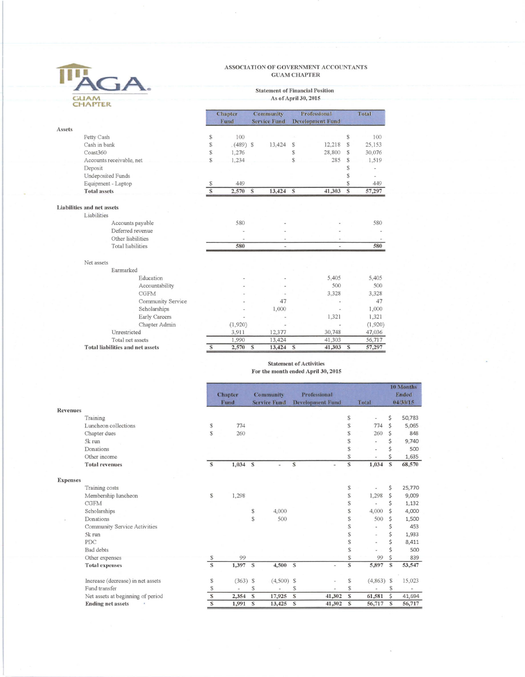#### ASSOCIATION OF GOVERNMENT ACCOUNTANTS **GUAM CHAPTER**

#### **Statement of Financial Position** As of April 30, 2015

|        |                                         |               | <b>Chapter</b><br>Fund |   | <b>Community</b><br><b>Service Fund</b> | <b>Professional</b><br><b>Development Fund</b> |                | Total |         |
|--------|-----------------------------------------|---------------|------------------------|---|-----------------------------------------|------------------------------------------------|----------------|-------|---------|
| Assets |                                         |               |                        |   |                                         |                                                |                |       |         |
|        | Petty Cash                              | \$            | 100                    |   |                                         |                                                |                | S     | 100     |
|        | Cash in bank                            | S             | $(489)$ \$             |   | 13,424                                  | S                                              | 12,218         | S     | 25,153  |
|        | Coast360                                | S             | 1,276                  |   |                                         | S                                              | 28,800         | S     | 30,076  |
|        | Accounts receivable, net                | S             | 1,234                  |   |                                         | S                                              | 285            | S     | 1,519   |
|        | Deposit                                 |               |                        |   |                                         |                                                |                | S     |         |
|        | <b>Undeposited Funds</b>                |               |                        |   |                                         |                                                |                | S     |         |
|        | Equipment - Laptop                      | S             | 449                    |   |                                         |                                                |                | S     | 449     |
|        | <b>Total assets</b>                     | $\mathcal{S}$ | 2,570                  | S | 13,424 \$                               |                                                | 41,303         | S     | 57,297  |
|        | Liabilities and net assets              |               |                        |   |                                         |                                                |                |       |         |
|        | Liabilities                             |               |                        |   |                                         |                                                |                |       |         |
|        | Accounts payable                        |               | 580                    |   |                                         |                                                |                |       | 580     |
|        | Deferred revenue                        |               |                        |   |                                         |                                                |                |       |         |
|        | Other liabilities                       |               |                        |   |                                         |                                                |                |       |         |
|        | <b>Total</b> liabilities                |               | 580                    |   | ÷                                       |                                                | $\overline{a}$ |       | 580     |
|        | Net assets                              |               |                        |   |                                         |                                                |                |       |         |
|        | Earmarked                               |               |                        |   |                                         |                                                |                |       |         |
|        | Education                               |               |                        |   |                                         |                                                | 5,405          |       | 5,405   |
|        | Accountability                          |               |                        |   |                                         |                                                | 500            |       | 500     |
|        | <b>CGFM</b>                             |               |                        |   |                                         |                                                | 3.328          |       | 3.328   |
|        | Community Service                       |               |                        |   | 47                                      |                                                |                |       | 47      |
|        | Scholarships                            |               |                        |   | 1,000                                   |                                                |                |       | 1,000   |
|        | Early Careers                           |               |                        |   |                                         |                                                | 1,321          |       | 1,321   |
|        | Chapter Admin                           |               | (1,920)                |   |                                         |                                                |                |       | (1,920) |
|        | Unrestricted                            |               | 3,911                  |   | 12,377                                  |                                                | 30,748         |       | 47,036  |
|        | Total net assets                        |               | 1,990                  |   | 13,424                                  |                                                | 41,303         |       | 56,717  |
|        | <b>Total liabilities and net assets</b> | S             | 2.570                  | S | 13.424                                  | S                                              | 41.303         | S     | 57,297  |

 $\bar{\kappa}$ 

TH

**GUAM**<br>CHAPTER

iA.

#### **Statement of Activities** For the month ended April 30, 2015

 $1035$ 

|                 |                                        |                   | <b>Chapter</b><br>Fund |           | <b>Community</b><br><b>Service Fund</b> |               | Professional<br><b>Development Fund</b> |                         | Total        |          | <b>TO MORTHS</b><br><b>Ended</b><br>04/30/15 |
|-----------------|----------------------------------------|-------------------|------------------------|-----------|-----------------------------------------|---------------|-----------------------------------------|-------------------------|--------------|----------|----------------------------------------------|
| Revenues        |                                        |                   |                        |           |                                         |               |                                         |                         |              |          |                                              |
|                 | Training                               |                   |                        |           |                                         |               |                                         | $\mathcal{S}$           |              | \$       | 50,783                                       |
|                 | Luncheon collections                   | $\mathbb S$       | 774                    |           |                                         |               |                                         | S                       | 774          | Ś        | 5,065                                        |
|                 | Chapter dues                           | S                 | 260                    |           |                                         |               |                                         | S                       | 260          |          | 848                                          |
|                 | 5k run                                 |                   |                        |           |                                         |               |                                         | S                       |              |          | 9,740                                        |
|                 | Donations                              |                   |                        |           |                                         |               |                                         | S                       |              |          | 500                                          |
|                 | Other income                           |                   |                        |           |                                         |               |                                         | S                       |              |          | 1,635                                        |
|                 | <b>Total revenues</b>                  | S                 | $1,034$ \$             |           |                                         | S             |                                         | $\mathbb S$             | 1,034        | S        | 68,570                                       |
|                 |                                        |                   |                        |           |                                         |               |                                         |                         |              |          |                                              |
| <b>Expenses</b> |                                        |                   |                        |           |                                         |               |                                         | $\mathbb S$             |              |          |                                              |
|                 | Training costs                         | $\mathbb{S}$      |                        |           |                                         |               |                                         | \$                      | 1,298        | \$<br>Ś  | 25,770                                       |
|                 | Membership luncheon<br><b>CGFM</b>     |                   | 1,298                  |           |                                         |               |                                         | \$                      |              | Ś        | 9,009                                        |
|                 |                                        |                   |                        |           | 4,000                                   |               |                                         | \$                      | 4,000        |          | 1,132<br>4,000                               |
|                 | Scholarships<br>Donations              |                   |                        | $\$$<br>S | 500                                     |               |                                         | S                       | 500          | Ś        |                                              |
|                 |                                        |                   |                        |           |                                         |               |                                         | S                       |              |          | 1,500<br>453                                 |
|                 | Community Service Activities<br>5k run |                   |                        |           |                                         |               |                                         | S                       |              | \$<br>\$ |                                              |
|                 | <b>PDC</b>                             |                   |                        |           |                                         |               |                                         | \$                      |              | \$       | 1,933<br>8,411                               |
|                 | <b>Bad</b> debts                       |                   |                        |           |                                         |               |                                         | S                       |              |          | 500                                          |
|                 |                                        |                   | 99                     |           |                                         |               |                                         | S                       | 99           | Ś        | 839                                          |
|                 | Other expenses                         | S<br>$\mathbb{S}$ | 1,397                  | S         | 4,500 \$                                |               |                                         | $\overline{\mathbb{S}}$ | 5,897        | S        | 53,547                                       |
|                 | <b>Total expenses</b>                  |                   |                        |           |                                         |               |                                         |                         |              |          |                                              |
|                 | Increase (decrease) in net assets      | $\mathbb{S}$      | $(363)$ \$             |           | $(4,500)$ \$                            |               |                                         | $\mathbb S$             | $(4,863)$ \$ |          | 15,023                                       |
|                 | Fund transfer                          | $\mathbb{S}$      |                        | S         |                                         | S.            |                                         | S                       |              | S        |                                              |
|                 | Net assets at beginning of period      | $\mathbb{S}$      | 2,354                  | S         | 17,925                                  | ${\mathbb S}$ | 41,302                                  | $\mathbb S$             | 61,581       | \$       | 41,694                                       |
|                 | <b>Ending net assets</b>               | $\mathbf{s}$      | 1,991                  | S         | 13,425                                  | S             | 41,302                                  | S                       | 56,717       | S        | 56,717                                       |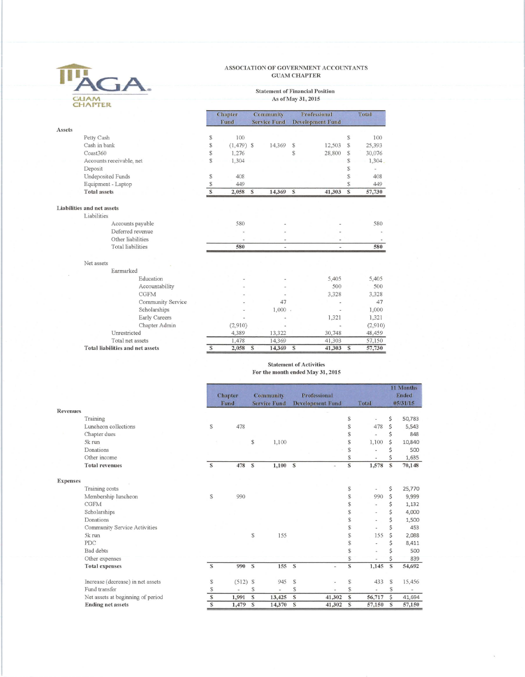### TH GA. **GUAM**<br>CHAPTER

#### ASSOCIATION OF GOVERNMENT ACCOUNTANTS **GUAM CHAPTER**

# Statement of Financial Position<br>As of May 31, 2015

|        |                                         |   | <b>Community</b><br><b>Chapter</b> |                         |                          | Professional  | Total                    |    |         |
|--------|-----------------------------------------|---|------------------------------------|-------------------------|--------------------------|---------------|--------------------------|----|---------|
|        |                                         |   | Fund                               |                         | <b>Service Fund</b>      |               | <b>Development Fund</b>  |    |         |
| Assets |                                         |   |                                    |                         |                          |               |                          |    |         |
|        | Petty Cash                              | S | 100                                |                         |                          |               |                          | S  | 100     |
|        | Cash in bank                            | S | $(1,479)$ \$                       |                         | 14,369                   | $\mathcal{S}$ | 12,503                   | S  | 25,393  |
|        | Coast360                                | S | 1,276                              |                         |                          | S             | 28,800                   | S  | 30,076  |
|        | Accounts receivable, net                | S | 1,304                              |                         |                          |               |                          | S  | 1,304.  |
|        | Deposit                                 |   |                                    |                         |                          |               |                          | \$ |         |
|        | <b>Undeposited Funds</b>                | S | 408                                |                         |                          |               |                          | S  | 408     |
|        | Equipment - Laptop                      | S | 449                                |                         |                          |               |                          | S  | 449     |
|        | <b>Total assets</b>                     | S | 2,058                              | $\mathcal{S}$           | 14,369                   | S             | 41,303                   | S  | 57,730  |
|        | <b>Liabilities and net assets</b>       |   |                                    |                         |                          |               |                          |    |         |
|        | Liabilities                             |   |                                    |                         |                          |               |                          |    |         |
|        | Accounts payable                        |   | 580                                |                         |                          |               |                          |    | 580     |
|        | Deferred revenue                        |   |                                    |                         |                          |               |                          |    |         |
|        | Other liabilities                       |   |                                    |                         |                          |               |                          |    |         |
|        | <b>Total</b> liabilities                |   | 580                                |                         | $\overline{\phantom{a}}$ |               | $\overline{\phantom{a}}$ |    | 580     |
|        | Net assets                              |   |                                    |                         |                          |               |                          |    |         |
|        | Earmarked                               |   |                                    |                         |                          |               |                          |    |         |
|        | Education                               |   |                                    |                         |                          |               | 5.405                    |    | 5,405   |
|        | Accountability                          |   |                                    |                         |                          |               | 500                      |    | 500     |
|        | <b>CGFM</b>                             |   |                                    |                         |                          |               | 3,328                    |    | 3.328   |
|        | Community Service                       |   |                                    |                         | 47                       |               |                          |    | 47      |
|        | Scholarships                            |   |                                    |                         | 1,000                    |               |                          |    | 1,000   |
|        | Early Careers                           |   |                                    |                         |                          |               | 1,321                    |    | 1,321   |
|        |                                         |   |                                    |                         |                          |               |                          |    |         |
|        | Chapter Admin<br>Unrestricted           |   | (2,910)                            |                         |                          |               |                          |    | (2,910) |
|        |                                         |   | 4,389                              |                         | 13,322                   |               | 30,748                   |    | 48,459  |
|        | Total net assets                        |   | 1,478                              |                         | 14,369                   |               | 41,303                   |    | 57,150  |
|        | <b>Total liabilities and net assets</b> | S | 2,058                              | $\overline{\mathbf{s}}$ | 14,369                   | S             | 41,303                   | S  | 57,730  |

#### **Statement of Activities** For the month ended May 31, 2015

|                 |                                   |                | <b>Chapter</b><br>Fund |               | <b>Community</b><br><b>Service Fund</b> |              | Professional<br><b>Development Fund</b> |                         | Total           |                    | 11 Months<br>Ended<br>05/31/15 |
|-----------------|-----------------------------------|----------------|------------------------|---------------|-----------------------------------------|--------------|-----------------------------------------|-------------------------|-----------------|--------------------|--------------------------------|
| <b>Revenues</b> |                                   |                |                        |               |                                         |              |                                         |                         |                 |                    |                                |
|                 | Training                          |                |                        |               |                                         |              |                                         | S                       |                 | \$                 | 50,783                         |
|                 | Luncheon collections              | S              | 478                    |               |                                         |              |                                         | S                       | 478             | $\mathsf{\dot{S}}$ | 5,543                          |
|                 | Chapter dues                      |                |                        |               |                                         |              |                                         | \$                      |                 | Ś                  | 848                            |
|                 | 5k run                            |                |                        | ${\mathbb S}$ | 1,100                                   |              |                                         | ${\mathbb S}$           | 1,100           | Ś                  | 10,840                         |
|                 | Donations                         |                |                        |               |                                         |              |                                         | \$                      |                 | Ś                  | 500                            |
|                 | Other income                      |                |                        |               |                                         |              |                                         | \$                      |                 | Ś                  | 1,635                          |
|                 | <b>Total revenues</b>             | $\mathbf S$    | 478                    | $\mathbf{s}$  | 1,100 S                                 |              |                                         | $\mathbb S$             | 1,578           | S                  | 70,148                         |
|                 |                                   |                |                        |               |                                         |              |                                         |                         |                 |                    |                                |
| <b>Expenses</b> |                                   |                |                        |               |                                         |              |                                         |                         |                 |                    |                                |
|                 | Training costs                    |                |                        |               |                                         |              |                                         | \$                      |                 | \$                 | 25,770                         |
|                 | Membership luncheon               | $\mathbb{S}$   | 990                    |               |                                         |              |                                         | S                       | 990             | \$                 | 9,999                          |
|                 | <b>CGFM</b>                       |                |                        |               |                                         |              |                                         | S                       |                 | \$                 | 1,132                          |
|                 | Scholarships                      |                |                        |               |                                         |              |                                         | \$                      |                 | \$                 | 4,000                          |
|                 | Donations                         |                |                        |               |                                         |              |                                         | \$                      | $\qquad \qquad$ | \$                 | 1,500                          |
|                 | Community Service Activities      |                |                        |               |                                         |              |                                         | S                       |                 | Ś                  | 453                            |
|                 | 5k run                            |                |                        | $\mathbb{S}$  | 155                                     |              |                                         | \$                      | 155             | Ś                  | 2,088                          |
|                 | <b>PDC</b>                        |                |                        |               |                                         |              |                                         | \$                      |                 | \$                 | 8,411                          |
|                 | <b>Bad</b> debts                  |                |                        |               |                                         |              |                                         | S                       |                 |                    | 500                            |
|                 | Other expenses                    |                |                        |               |                                         |              |                                         | \$                      |                 | Ś                  | 839                            |
|                 | <b>Total expenses</b>             | S              | 990                    | s             | 155                                     | S            | $\overline{\phantom{a}}$                | $\overline{\mathbb{S}}$ | 1,145           | S                  | 54,692                         |
|                 | Increase (decrease) in net assets | $\mathbb{S}$   | $(512)$ \$             |               | 945                                     | S            |                                         | \$                      | 433             | \$                 | 15,456                         |
|                 | Fund transfer                     | S              |                        | $\mathbb{S}$  |                                         | S            |                                         | \$                      |                 | <sup>\$</sup>      |                                |
|                 | Net assets at beginning of period | $\overline{s}$ | 1,991                  | S             | 13,425                                  | $\mathbf{s}$ | 41,302                                  | $\mathbf{s}$            | 56,717          | \$                 | 41,694                         |
|                 | <b>Ending net assets</b>          | $\overline{s}$ | 1,479                  | S             | 14,370                                  | S            | 41,302                                  | S                       | 57,150          | S                  | 57,150                         |